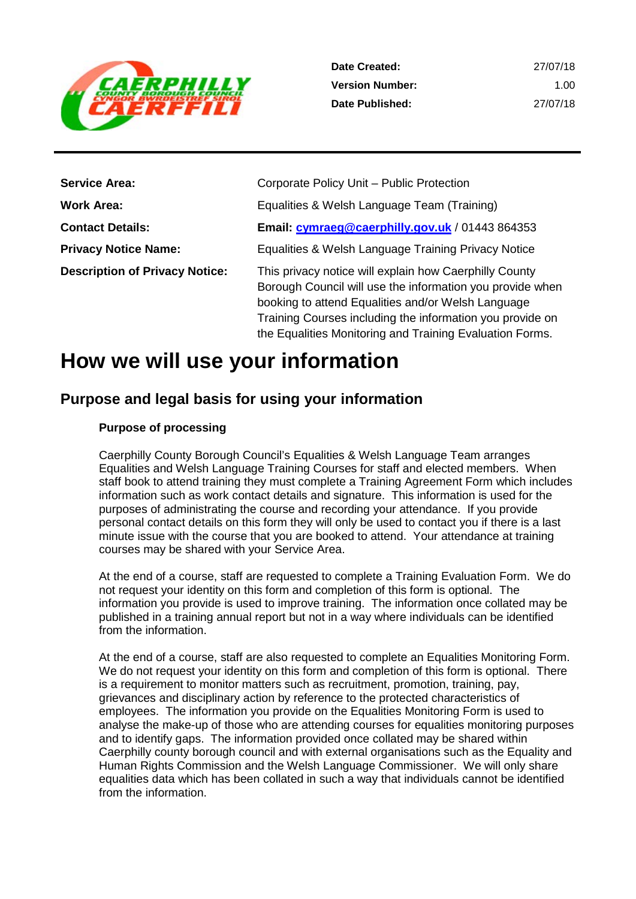

| <b>Service Area:</b>                  | Corporate Policy Unit - Public Protection                                                                                                                                                                                                                                                          |
|---------------------------------------|----------------------------------------------------------------------------------------------------------------------------------------------------------------------------------------------------------------------------------------------------------------------------------------------------|
| Work Area:                            | Equalities & Welsh Language Team (Training)                                                                                                                                                                                                                                                        |
| <b>Contact Details:</b>               | Email: cymraeg@caerphilly.gov.uk / 01443 864353                                                                                                                                                                                                                                                    |
| <b>Privacy Notice Name:</b>           | Equalities & Welsh Language Training Privacy Notice                                                                                                                                                                                                                                                |
| <b>Description of Privacy Notice:</b> | This privacy notice will explain how Caerphilly County<br>Borough Council will use the information you provide when<br>booking to attend Equalities and/or Welsh Language<br>Training Courses including the information you provide on<br>the Equalities Monitoring and Training Evaluation Forms. |

# **How we will use your information**

# **Purpose and legal basis for using your information**

## **Purpose of processing**

Caerphilly County Borough Council's Equalities & Welsh Language Team arranges Equalities and Welsh Language Training Courses for staff and elected members. When staff book to attend training they must complete a Training Agreement Form which includes information such as work contact details and signature. This information is used for the purposes of administrating the course and recording your attendance. If you provide personal contact details on this form they will only be used to contact you if there is a last minute issue with the course that you are booked to attend. Your attendance at training courses may be shared with your Service Area.

At the end of a course, staff are requested to complete a Training Evaluation Form. We do not request your identity on this form and completion of this form is optional. The information you provide is used to improve training. The information once collated may be published in a training annual report but not in a way where individuals can be identified from the information.

At the end of a course, staff are also requested to complete an Equalities Monitoring Form. We do not request your identity on this form and completion of this form is optional. There is a requirement to monitor matters such as recruitment, promotion, training, pay, grievances and disciplinary action by reference to the protected characteristics of employees. The information you provide on the Equalities Monitoring Form is used to analyse the make-up of those who are attending courses for equalities monitoring purposes and to identify gaps. The information provided once collated may be shared within Caerphilly county borough council and with external organisations such as the Equality and Human Rights Commission and the Welsh Language Commissioner. We will only share equalities data which has been collated in such a way that individuals cannot be identified from the information.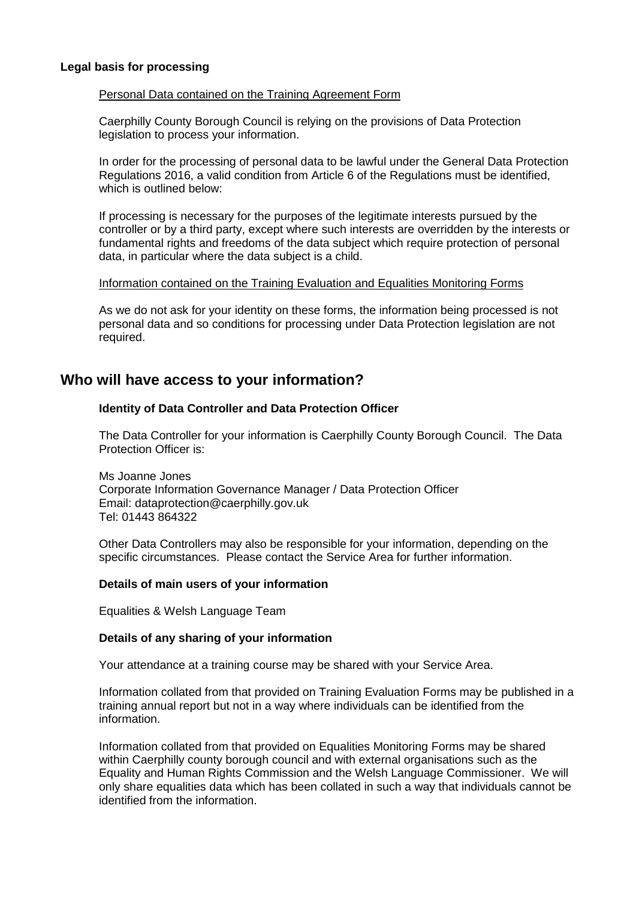#### **Legal basis for processing**

#### Personal Data contained on the Training Agreement Form

Caerphilly County Borough Council is relying on the provisions of Data Protection legislation to process your information.

In order for the processing of personal data to be lawful under the General Data Protection Regulations 2016, a valid condition from Article 6 of the Regulations must be identified, which is outlined below:

If processing is necessary for the purposes of the legitimate interests pursued by the controller or by a third party, except where such interests are overridden by the interests or fundamental rights and freedoms of the data subject which require protection of personal data, in particular where the data subject is a child.

#### Information contained on the Training Evaluation and Equalities Monitoring Forms

As we do not ask for your identity on these forms, the information being processed is not personal data and so conditions for processing under Data Protection legislation are not required.

# **Who will have access to your information?**

## **Identity of Data Controller and Data Protection Officer**

The Data Controller for your information is Caerphilly County Borough Council. The Data Protection Officer is:

Ms Joanne Jones Corporate Information Governance Manager / Data Protection Officer Email: dataprotection@caerphilly.gov.uk Tel: 01443 864322

Other Data Controllers may also be responsible for your information, depending on the specific circumstances. Please contact the Service Area for further information.

## **Details of main users of your information**

Equalities & Welsh Language Team

## **Details of any sharing of your information**

Your attendance at a training course may be shared with your Service Area.

Information collated from that provided on Training Evaluation Forms may be published in a training annual report but not in a way where individuals can be identified from the information.

Information collated from that provided on Equalities Monitoring Forms may be shared within Caerphilly county borough council and with external organisations such as the Equality and Human Rights Commission and the Welsh Language Commissioner. We will only share equalities data which has been collated in such a way that individuals cannot be identified from the information.